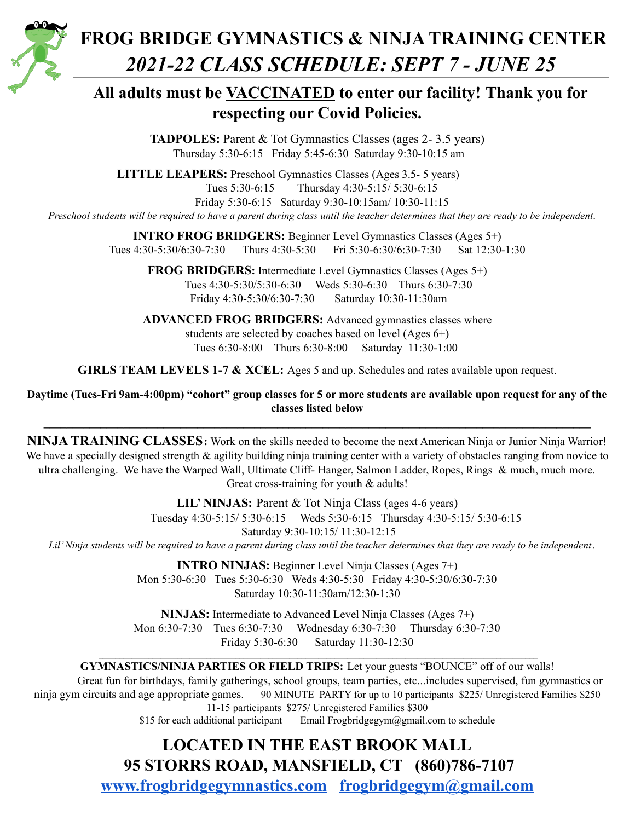

# **FROG BRIDGE GYMNASTICS & NINJA TRAINING CENTER** *2021-22 CLASS SCHEDULE: SEPT 7 - JUNE 25*

### **All adults must be VACCINATED to enter our facility! Thank you for respecting our Covid Policies.**

**TADPOLES:** Parent & Tot Gymnastics Classes (ages 2- 3.5 years) Thursday 5:30-6:15 Friday 5:45-6:30 Saturday 9:30-10:15 am

**LITTLE LEAPERS:** Preschool Gymnastics Classes (Ages 3.5- 5 years) Tues 5:30-6:15 Thursday 4:30-5:15/ 5:30-6:15

Friday 5:30-6:15 Saturday 9:30-10:15am/ 10:30-11:15

Preschool students will be required to have a parent during class until the teacher determines that they are ready to be independent.

**INTRO FROG BRIDGERS:** Beginner Level Gymnastics Classes (Ages 5+) Tues 4:30-5:30/6:30-7:30 Thurs 4:30-5:30 Fri 5:30-6:30/6:30-7:30 Sat 12:30-1:30

**FROG BRIDGERS:** Intermediate Level Gymnastics Classes (Ages 5+) Tues 4:30-5:30/5:30-6:30 Weds 5:30-6:30 Thurs 6:30-7:30 Friday 4:30-5:30/6:30-7:30 Saturday 10:30-11:30am

#### **ADVANCED FROG BRIDGERS:** Advanced gymnastics classes where students are selected by coaches based on level (Ages 6+) Tues 6:30-8:00 Thurs 6:30-8:00 Saturday 11:30-1:00

**GIRLS TEAM LEVELS 1-7 & XCEL:** Ages 5 and up. Schedules and rates available upon request.

#### Daytime (Tues-Fri 9am-4:00pm) "cohort" group classes for 5 or more students are available upon request for any of the **classes listed below**

**\_\_\_\_\_\_\_\_\_\_\_\_\_\_\_\_\_\_\_\_\_\_\_\_\_\_\_\_\_\_\_\_\_\_\_\_\_\_\_\_\_\_\_\_\_\_\_\_\_\_\_\_\_\_\_\_\_\_\_\_\_\_\_\_\_\_\_\_\_\_\_\_\_\_\_\_\_\_\_\_\_\_\_\_\_\_\_\_\_\_\_\_\_\_\_\_**

**NINJA TRAINING CLASSES:** Work on the skills needed to become the next American Ninja or Junior Ninja Warrior! We have a specially designed strength  $\&$  agility building ninja training center with a variety of obstacles ranging from novice to ultra challenging. We have the Warped Wall, Ultimate Cliff-Hanger, Salmon Ladder, Ropes, Rings & much, much more. Great cross-training for youth & adults!

**LIL' NINJAS:** Parent & Tot Ninja Class (ages 4-6 years) Tuesday 4:30-5:15/ 5:30-6:15 Weds 5:30-6:15 Thursday 4:30-5:15/ 5:30-6:15 Saturday 9:30-10:15/ 11:30-12:15 Lil' Ninja students will be required to have a parent during class until the teacher determines that they are ready to be independent.

> **INTRO NINJAS:** Beginner Level Ninja Classes (Ages 7+) Mon 5:30-6:30 Tues 5:30-6:30 Weds 4:30-5:30 Friday 4:30-5:30/6:30-7:30 Saturday 10:30-11:30am/12:30-1:30

> **NINJAS:** Intermediate to Advanced Level Ninja Classes (Ages 7+) Mon 6:30-7:30 Tues 6:30-7:30 Wednesday 6:30-7:30 Thursday 6:30-7:30 Friday 5:30-6:30 Saturday 11:30-12:30

**\_\_\_\_\_\_\_\_\_\_\_\_\_\_\_\_\_\_\_\_\_\_\_\_\_\_\_\_\_\_\_\_\_\_\_\_\_\_\_\_\_\_\_\_\_\_\_\_\_\_\_\_\_\_\_\_\_\_\_\_\_\_\_\_\_\_\_\_\_\_\_\_\_\_\_\_\_\_\_\_\_\_\_\_\_\_\_\_\_\_\_\_\_\_\_\_\_\_\_\_\_\_\_\_\_\_ GYMNASTICS/NINJA PARTIES OR FIELD TRIPS:** Let your guests "BOUNCE" off of our walls!

Great fun for birthdays, family gatherings, school groups, team parties, etc...includes supervised, fun gymnastics or ninja gym circuits and age appropriate games. 90 MINUTE PARTY for up to 10 participants \$225/ Unregistered Families \$250 11-15 participants \$275/ Unregistered Families \$300

\$15 for each additional participant Email Frogbridgegym@gmail.com to schedule

## **LOCATED IN THE EAST BROOK MALL 95 STORRS ROAD, MANSFIELD, CT (860)786-7107**

**[www.frogbridgegymnastics.com](http://www.frogbridgegymnastics.com) [frogbridgegym@gmail.com](mailto:frogbridgegym@gmail.com)**